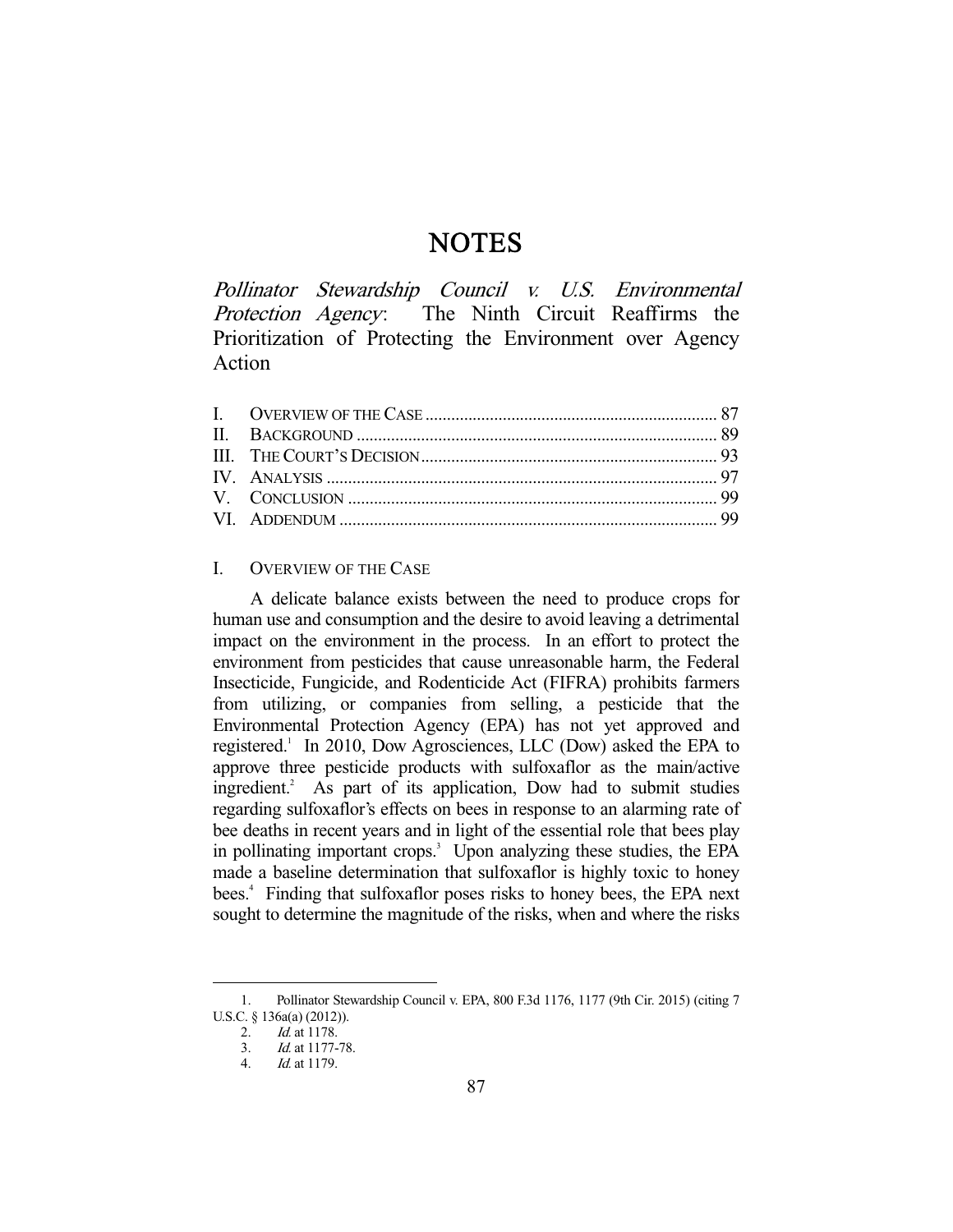# **NOTES**

Pollinator Stewardship Council v. U.S. Environmental Protection Agency: The Ninth Circuit Reaffirms the Prioritization of Protecting the Environment over Agency Action

# I. OVERVIEW OF THE CASE

 A delicate balance exists between the need to produce crops for human use and consumption and the desire to avoid leaving a detrimental impact on the environment in the process. In an effort to protect the environment from pesticides that cause unreasonable harm, the Federal Insecticide, Fungicide, and Rodenticide Act (FIFRA) prohibits farmers from utilizing, or companies from selling, a pesticide that the Environmental Protection Agency (EPA) has not yet approved and registered.<sup>1</sup> In 2010, Dow Agrosciences, LLC (Dow) asked the EPA to approve three pesticide products with sulfoxaflor as the main/active ingredient.<sup>2</sup> As part of its application, Dow had to submit studies regarding sulfoxaflor's effects on bees in response to an alarming rate of bee deaths in recent years and in light of the essential role that bees play in pollinating important crops.<sup>3</sup> Upon analyzing these studies, the EPA made a baseline determination that sulfoxaflor is highly toxic to honey bees.<sup>4</sup> Finding that sulfoxaflor poses risks to honey bees, the EPA next sought to determine the magnitude of the risks, when and where the risks

 <sup>1.</sup> Pollinator Stewardship Council v. EPA, 800 F.3d 1176, 1177 (9th Cir. 2015) (citing 7 U.S.C. § 136a(a) (2012)).

 <sup>2.</sup> Id. at 1178.

 <sup>3.</sup> Id. at 1177-78.

 <sup>4.</sup> Id. at 1179.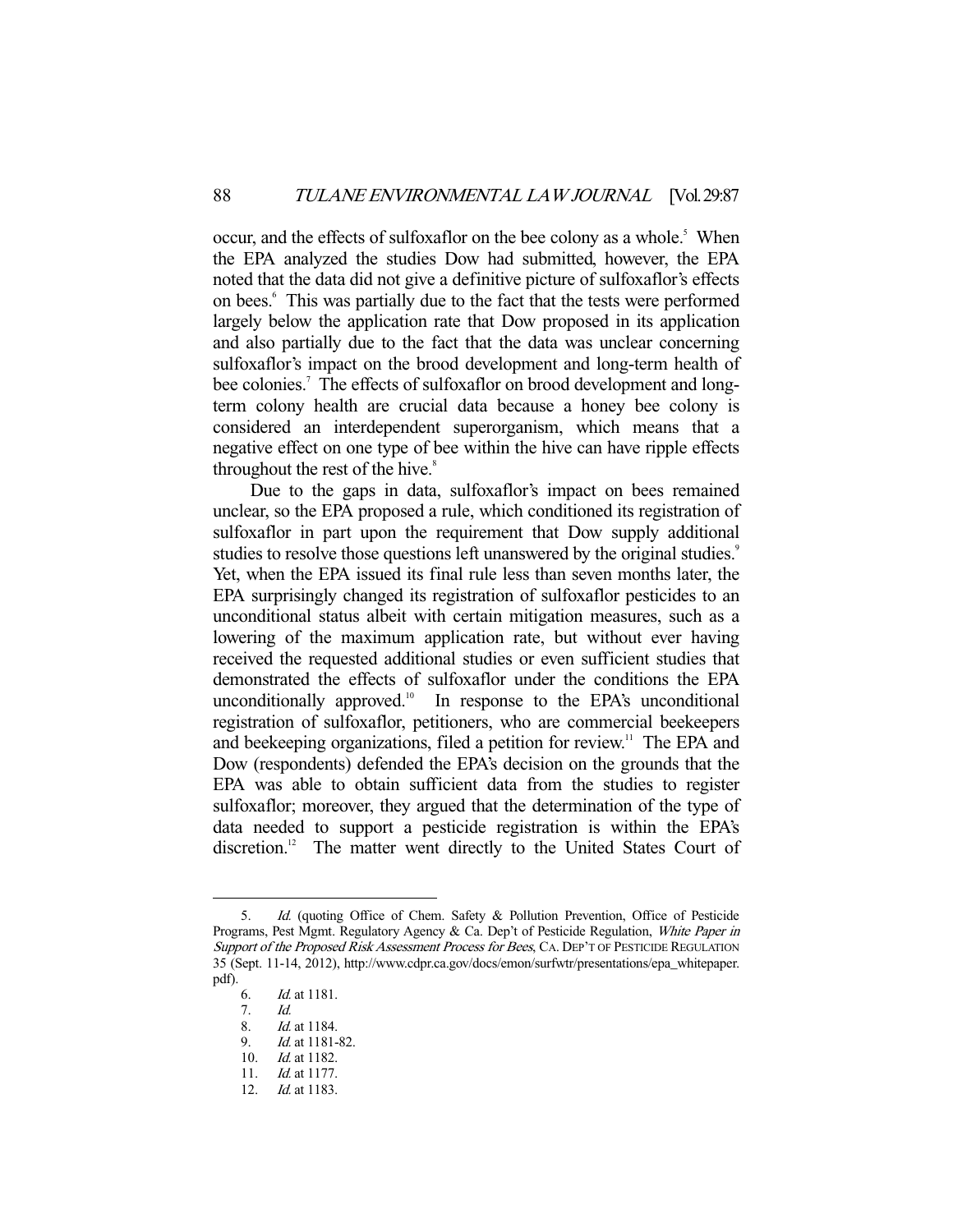occur, and the effects of sulfoxaflor on the bee colony as a whole.<sup>5</sup> When the EPA analyzed the studies Dow had submitted, however, the EPA noted that the data did not give a definitive picture of sulfoxaflor's effects on bees.<sup>6</sup> This was partially due to the fact that the tests were performed largely below the application rate that Dow proposed in its application and also partially due to the fact that the data was unclear concerning sulfoxaflor's impact on the brood development and long-term health of bee colonies.<sup>7</sup> The effects of sulfoxaflor on brood development and longterm colony health are crucial data because a honey bee colony is considered an interdependent superorganism, which means that a negative effect on one type of bee within the hive can have ripple effects throughout the rest of the hive.<sup>8</sup>

 Due to the gaps in data, sulfoxaflor's impact on bees remained unclear, so the EPA proposed a rule, which conditioned its registration of sulfoxaflor in part upon the requirement that Dow supply additional studies to resolve those questions left unanswered by the original studies.<sup>9</sup> Yet, when the EPA issued its final rule less than seven months later, the EPA surprisingly changed its registration of sulfoxaflor pesticides to an unconditional status albeit with certain mitigation measures, such as a lowering of the maximum application rate, but without ever having received the requested additional studies or even sufficient studies that demonstrated the effects of sulfoxaflor under the conditions the EPA unconditionally approved. $\frac{10}{10}$  In response to the EPA's unconditional registration of sulfoxaflor, petitioners, who are commercial beekeepers and beekeeping organizations, filed a petition for review.<sup>11</sup> The EPA and Dow (respondents) defended the EPA's decision on the grounds that the EPA was able to obtain sufficient data from the studies to register sulfoxaflor; moreover, they argued that the determination of the type of data needed to support a pesticide registration is within the EPA's discretion.<sup>12</sup> The matter went directly to the United States Court of

-

8. Id. at 1184.

12. *Id.* at 1183.

 <sup>5.</sup> Id. (quoting Office of Chem. Safety & Pollution Prevention, Office of Pesticide Programs, Pest Mgmt. Regulatory Agency & Ca. Dep't of Pesticide Regulation, White Paper in Support of the Proposed Risk Assessment Process for Bees, CA. DEP'T OF PESTICIDE REGULATION 35 (Sept. 11-14, 2012), http://www.cdpr.ca.gov/docs/emon/surfwtr/presentations/epa\_whitepaper. pdf).

 <sup>6.</sup> Id. at 1181.

 <sup>7.</sup> Id.

 <sup>9.</sup> Id. at 1181-82.

<sup>10.</sup> *Id.* at 1182.

 <sup>11.</sup> Id. at 1177.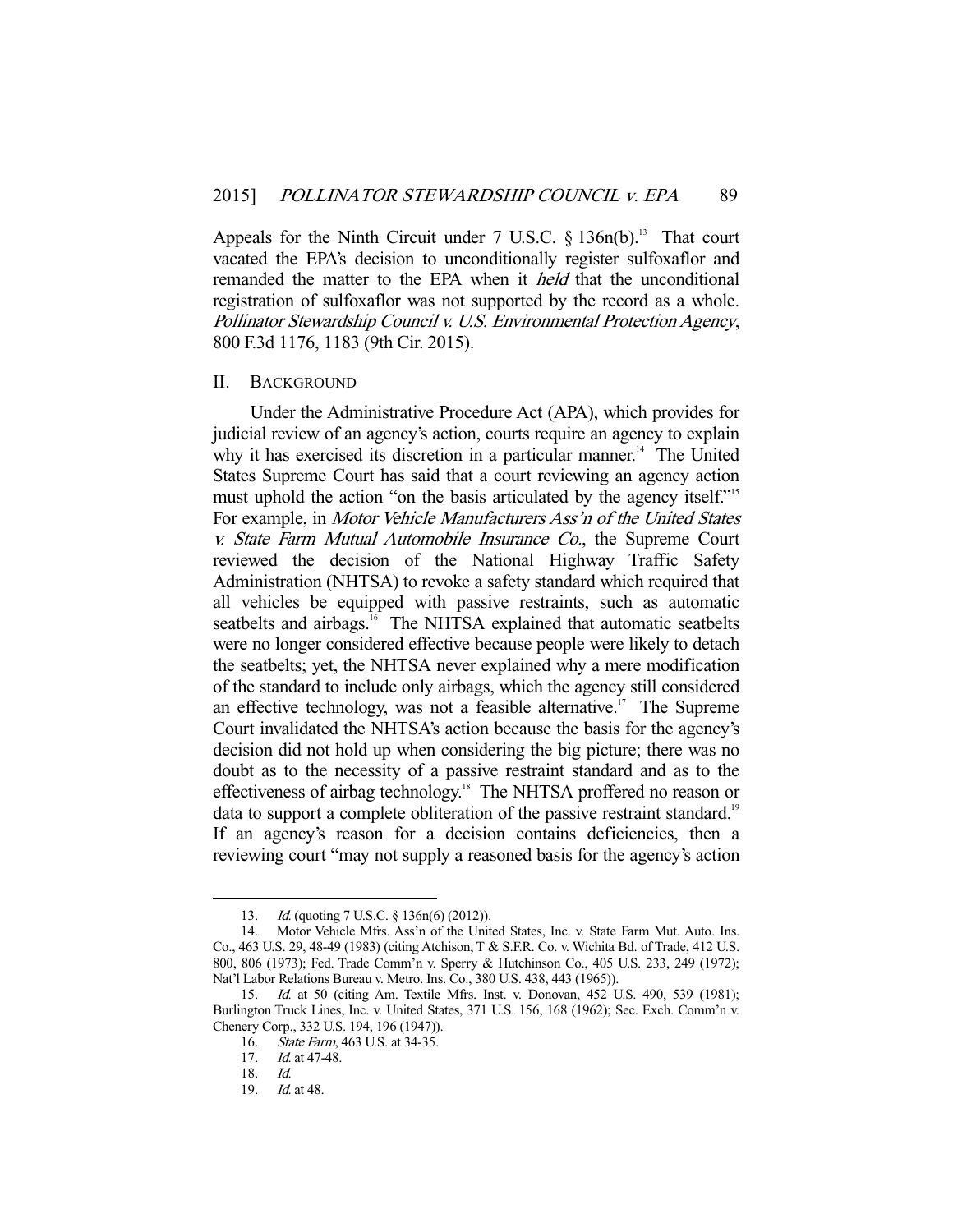Appeals for the Ninth Circuit under  $7 \text{ U.S.C. }$  §  $136n(b).$ <sup>13</sup> That court vacated the EPA's decision to unconditionally register sulfoxaflor and remanded the matter to the EPA when it held that the unconditional registration of sulfoxaflor was not supported by the record as a whole. Pollinator Stewardship Council v. U.S. Environmental Protection Agency, 800 F.3d 1176, 1183 (9th Cir. 2015).

#### II. BACKGROUND

 Under the Administrative Procedure Act (APA), which provides for judicial review of an agency's action, courts require an agency to explain why it has exercised its discretion in a particular manner.<sup>14</sup> The United States Supreme Court has said that a court reviewing an agency action must uphold the action "on the basis articulated by the agency itself."<sup>15</sup> For example, in Motor Vehicle Manufacturers Ass'n of the United States v. State Farm Mutual Automobile Insurance Co., the Supreme Court reviewed the decision of the National Highway Traffic Safety Administration (NHTSA) to revoke a safety standard which required that all vehicles be equipped with passive restraints, such as automatic seatbelts and airbags.<sup>16</sup> The NHTSA explained that automatic seatbelts were no longer considered effective because people were likely to detach the seatbelts; yet, the NHTSA never explained why a mere modification of the standard to include only airbags, which the agency still considered an effective technology, was not a feasible alternative.<sup>17</sup> The Supreme Court invalidated the NHTSA's action because the basis for the agency's decision did not hold up when considering the big picture; there was no doubt as to the necessity of a passive restraint standard and as to the effectiveness of airbag technology.<sup>18</sup> The NHTSA proffered no reason or data to support a complete obliteration of the passive restraint standard.<sup>19</sup> If an agency's reason for a decision contains deficiencies, then a reviewing court "may not supply a reasoned basis for the agency's action

<sup>13.</sup> *Id.* (quoting 7 U.S.C. § 136n(6) (2012)).

 <sup>14.</sup> Motor Vehicle Mfrs. Ass'n of the United States, Inc. v. State Farm Mut. Auto. Ins. Co., 463 U.S. 29, 48-49 (1983) (citing Atchison, T & S.F.R. Co. v. Wichita Bd. of Trade, 412 U.S. 800, 806 (1973); Fed. Trade Comm'n v. Sperry & Hutchinson Co., 405 U.S. 233, 249 (1972); Nat'l Labor Relations Bureau v. Metro. Ins. Co., 380 U.S. 438, 443 (1965)).

 <sup>15.</sup> Id. at 50 (citing Am. Textile Mfrs. Inst. v. Donovan, 452 U.S. 490, 539 (1981); Burlington Truck Lines, Inc. v. United States, 371 U.S. 156, 168 (1962); Sec. Exch. Comm'n v. Chenery Corp., 332 U.S. 194, 196 (1947)).

 <sup>16.</sup> State Farm, 463 U.S. at 34-35.

<sup>17.</sup> *Id.* at 47-48.

 <sup>18.</sup> Id.

 <sup>19.</sup> Id. at 48.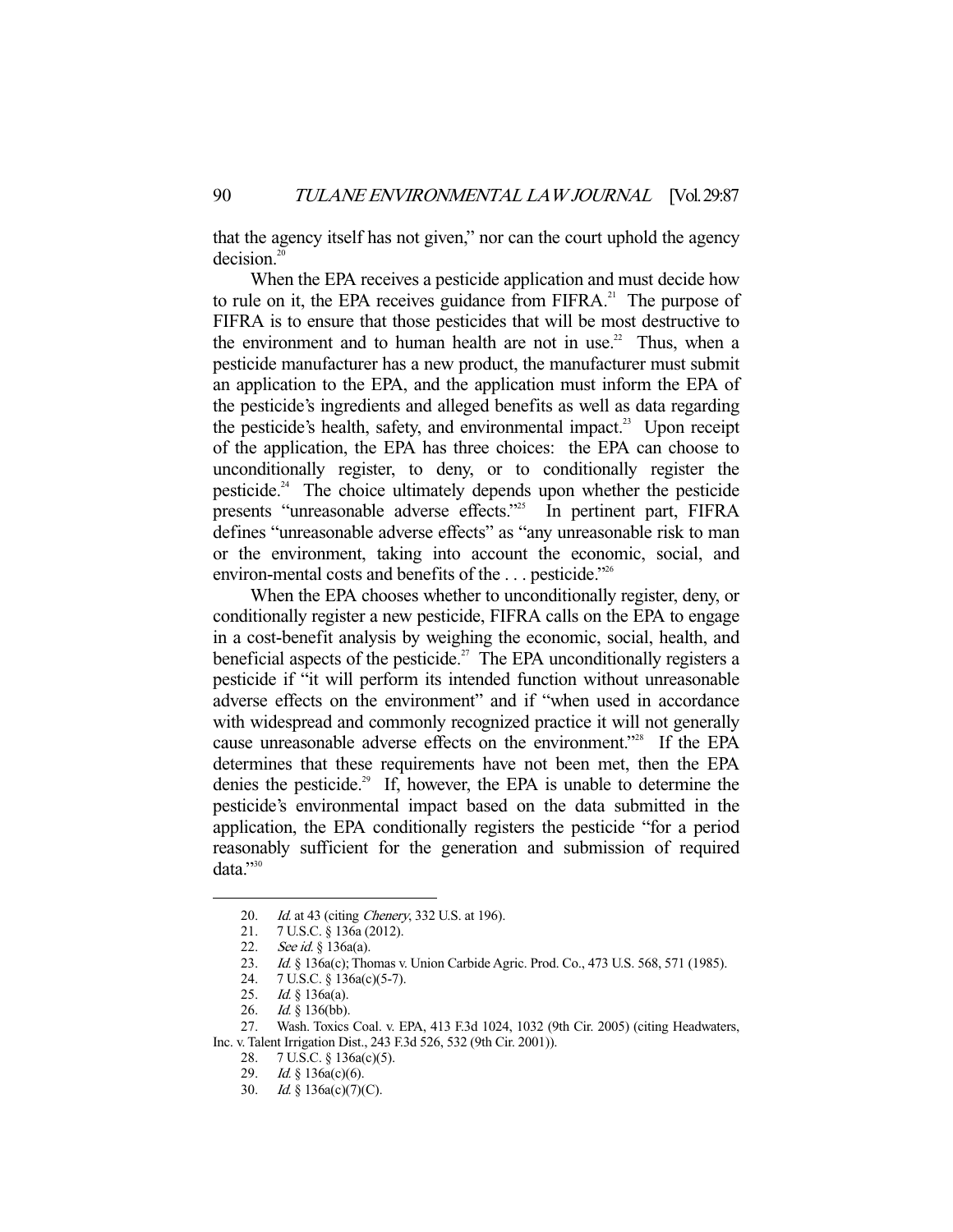that the agency itself has not given," nor can the court uphold the agency decision.<sup>20</sup>

 When the EPA receives a pesticide application and must decide how to rule on it, the EPA receives guidance from  $FIFRA<sup>21</sup>$ . The purpose of FIFRA is to ensure that those pesticides that will be most destructive to the environment and to human health are not in use.<sup>22</sup> Thus, when a pesticide manufacturer has a new product, the manufacturer must submit an application to the EPA, and the application must inform the EPA of the pesticide's ingredients and alleged benefits as well as data regarding the pesticide's health, safety, and environmental impact.<sup>23</sup> Upon receipt of the application, the EPA has three choices: the EPA can choose to unconditionally register, to deny, or to conditionally register the pesticide.<sup>24</sup> The choice ultimately depends upon whether the pesticide presents "unreasonable adverse effects."<sup>25</sup> In pertinent part, FIFRA defines "unreasonable adverse effects" as "any unreasonable risk to man or the environment, taking into account the economic, social, and environ-mental costs and benefits of the ... pesticide."<sup>26</sup>

 When the EPA chooses whether to unconditionally register, deny, or conditionally register a new pesticide, FIFRA calls on the EPA to engage in a cost-benefit analysis by weighing the economic, social, health, and beneficial aspects of the pesticide.<sup>27</sup> The EPA unconditionally registers a pesticide if "it will perform its intended function without unreasonable adverse effects on the environment" and if "when used in accordance with widespread and commonly recognized practice it will not generally cause unreasonable adverse effects on the environment."<sup>28</sup> If the EPA determines that these requirements have not been met, then the EPA denies the pesticide.<sup>29</sup> If, however, the EPA is unable to determine the pesticide's environmental impact based on the data submitted in the application, the EPA conditionally registers the pesticide "for a period reasonably sufficient for the generation and submission of required data."30

<sup>20.</sup> *Id.* at 43 (citing *Chenery*, 332 U.S. at 196).

 <sup>21. 7</sup> U.S.C. § 136a (2012).

<sup>22.</sup> See id. § 136a(a).

<sup>23.</sup> Id. § 136a(c); Thomas v. Union Carbide Agric. Prod. Co., 473 U.S. 568, 571 (1985).

 <sup>24. 7</sup> U.S.C. § 136a(c)(5-7).

<sup>25.</sup> *Id.* § 136a(a).<br>26. *Id.* § 136(bb).  $Id. \S$  136(bb).

 <sup>27.</sup> Wash. Toxics Coal. v. EPA, 413 F.3d 1024, 1032 (9th Cir. 2005) (citing Headwaters, Inc. v. Talent Irrigation Dist., 243 F.3d 526, 532 (9th Cir. 2001)).

 <sup>28. 7</sup> U.S.C. § 136a(c)(5).

 <sup>29.</sup> Id. § 136a(c)(6).

 <sup>30.</sup> Id. § 136a(c)(7)(C).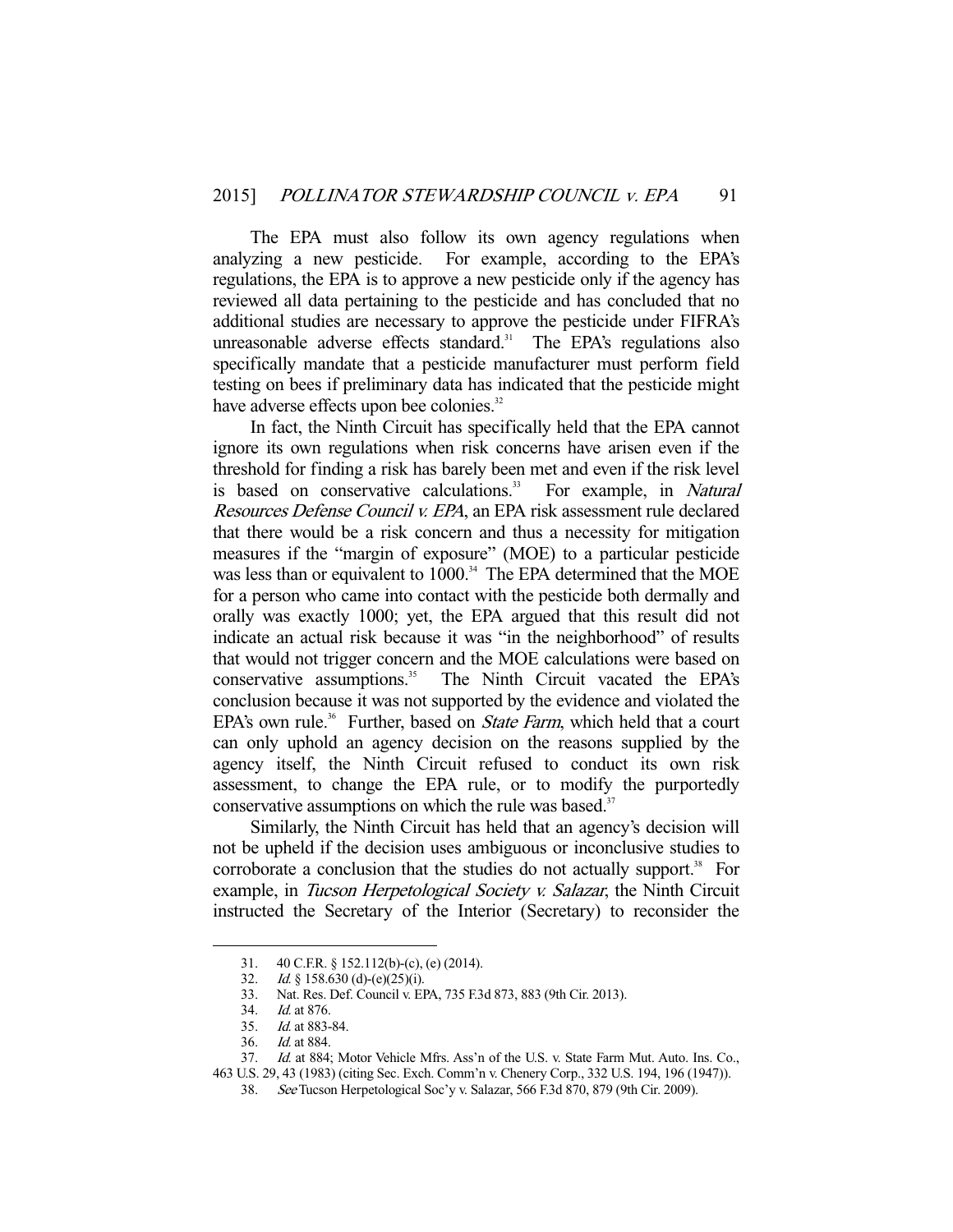The EPA must also follow its own agency regulations when analyzing a new pesticide. For example, according to the EPA's regulations, the EPA is to approve a new pesticide only if the agency has reviewed all data pertaining to the pesticide and has concluded that no additional studies are necessary to approve the pesticide under FIFRA's unreasonable adverse effects standard. $31$  The EPA's regulations also specifically mandate that a pesticide manufacturer must perform field testing on bees if preliminary data has indicated that the pesticide might have adverse effects upon bee colonies.<sup>32</sup>

 In fact, the Ninth Circuit has specifically held that the EPA cannot ignore its own regulations when risk concerns have arisen even if the threshold for finding a risk has barely been met and even if the risk level is based on conservative calculations.<sup>33</sup> For example, in *Natural* Resources Defense Council v. EPA, an EPA risk assessment rule declared that there would be a risk concern and thus a necessity for mitigation measures if the "margin of exposure" (MOE) to a particular pesticide was less than or equivalent to 1000.<sup>34</sup> The EPA determined that the MOE for a person who came into contact with the pesticide both dermally and orally was exactly 1000; yet, the EPA argued that this result did not indicate an actual risk because it was "in the neighborhood" of results that would not trigger concern and the MOE calculations were based on conservative assumptions.<sup>35</sup> The Ninth Circuit vacated the EPA's conclusion because it was not supported by the evidence and violated the EPA's own rule.<sup>36</sup> Further, based on *State Farm*, which held that a court can only uphold an agency decision on the reasons supplied by the agency itself, the Ninth Circuit refused to conduct its own risk assessment, to change the EPA rule, or to modify the purportedly conservative assumptions on which the rule was based.<sup>37</sup>

 Similarly, the Ninth Circuit has held that an agency's decision will not be upheld if the decision uses ambiguous or inconclusive studies to corroborate a conclusion that the studies do not actually support. $38$  For example, in Tucson Herpetological Society v. Salazar, the Ninth Circuit instructed the Secretary of the Interior (Secretary) to reconsider the

<sup>31. 40</sup> C.F.R. § 152.112(b)-(c), (e) (2014).<br>32. Id. § 158.630 (d)-(e)(25)(i).

*Id.* § 158.630 (d)-(e)(25)(i).

 <sup>33.</sup> Nat. Res. Def. Council v. EPA, 735 F.3d 873, 883 (9th Cir. 2013).

 <sup>34.</sup> Id. at 876.

 <sup>35.</sup> Id. at 883-84.

 <sup>36.</sup> Id. at 884.

<sup>37.</sup> Id. at 884; Motor Vehicle Mfrs. Ass'n of the U.S. v. State Farm Mut. Auto. Ins. Co.,

<sup>463</sup> U.S. 29, 43 (1983) (citing Sec. Exch. Comm'n v. Chenery Corp., 332 U.S. 194, 196 (1947)).

 <sup>38.</sup> See Tucson Herpetological Soc'y v. Salazar, 566 F.3d 870, 879 (9th Cir. 2009).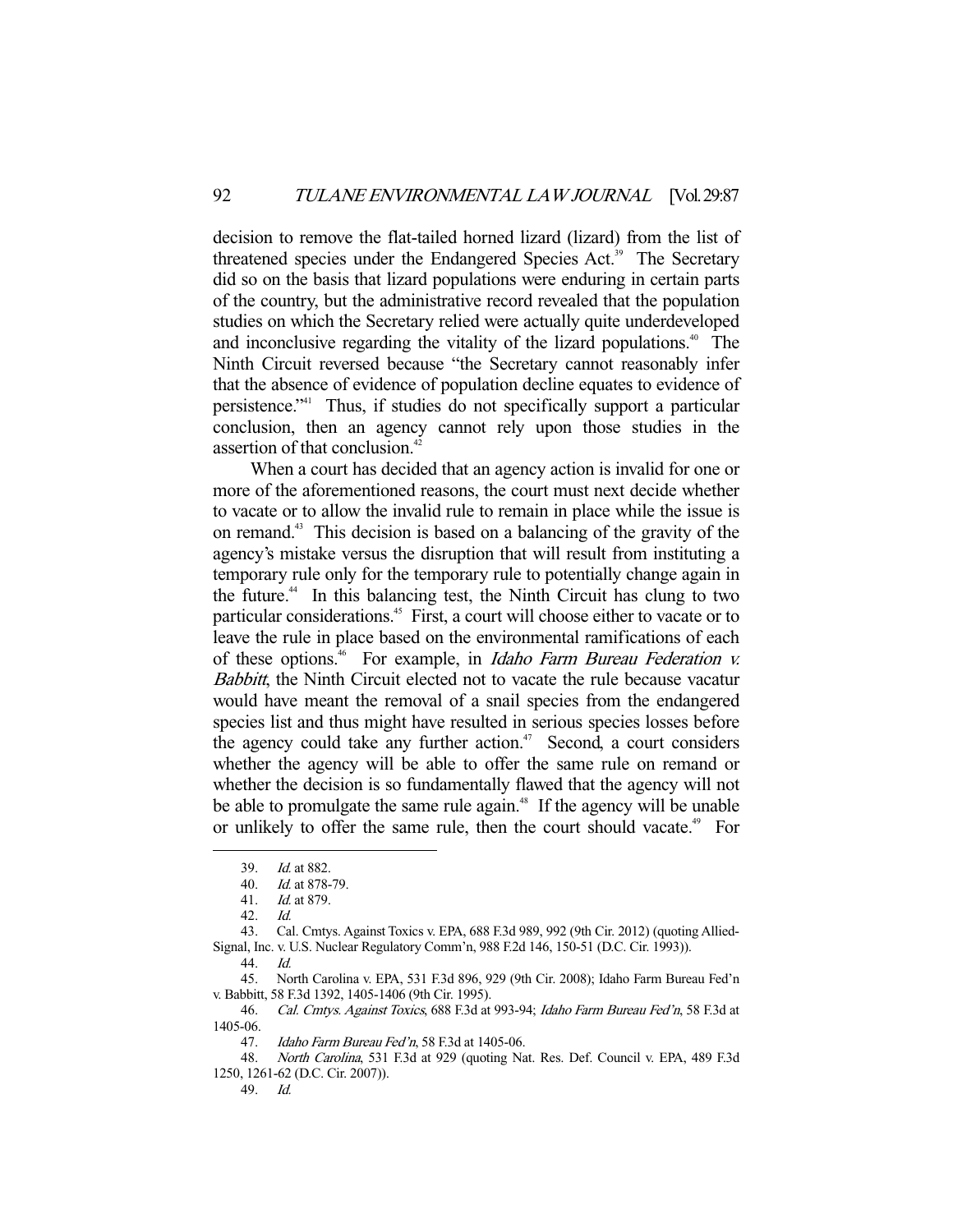decision to remove the flat-tailed horned lizard (lizard) from the list of threatened species under the Endangered Species Act.<sup>39</sup> The Secretary did so on the basis that lizard populations were enduring in certain parts of the country, but the administrative record revealed that the population studies on which the Secretary relied were actually quite underdeveloped and inconclusive regarding the vitality of the lizard populations.<sup>40</sup> The Ninth Circuit reversed because "the Secretary cannot reasonably infer that the absence of evidence of population decline equates to evidence of persistence."41 Thus, if studies do not specifically support a particular conclusion, then an agency cannot rely upon those studies in the assertion of that conclusion.<sup>42</sup>

 When a court has decided that an agency action is invalid for one or more of the aforementioned reasons, the court must next decide whether to vacate or to allow the invalid rule to remain in place while the issue is on remand.43 This decision is based on a balancing of the gravity of the agency's mistake versus the disruption that will result from instituting a temporary rule only for the temporary rule to potentially change again in the future.44 In this balancing test, the Ninth Circuit has clung to two particular considerations.<sup>45</sup> First, a court will choose either to vacate or to leave the rule in place based on the environmental ramifications of each of these options.<sup>46</sup> For example, in *Idaho Farm Bureau Federation v.* Babbitt, the Ninth Circuit elected not to vacate the rule because vacatur would have meant the removal of a snail species from the endangered species list and thus might have resulted in serious species losses before the agency could take any further action.<sup> $47$ </sup> Second, a court considers whether the agency will be able to offer the same rule on remand or whether the decision is so fundamentally flawed that the agency will not be able to promulgate the same rule again.<sup>48</sup> If the agency will be unable or unlikely to offer the same rule, then the court should vacate.<sup>49</sup> For

 43. Cal. Cmtys. Against Toxics v. EPA, 688 F.3d 989, 992 (9th Cir. 2012) (quoting Allied-Signal, Inc. v. U.S. Nuclear Regulatory Comm'n, 988 F.2d 146, 150-51 (D.C. Cir. 1993)).

-

46. Cal. Cmtys. Against Toxics, 688 F.3d at 993-94; Idaho Farm Bureau Fed'n, 58 F.3d at 1405-06.

47. Idaho Farm Bureau Fed'n, 58 F.3d at 1405-06.

 48. North Carolina, 531 F.3d at 929 (quoting Nat. Res. Def. Council v. EPA, 489 F.3d 1250, 1261-62 (D.C. Cir. 2007)).

49. Id.

 <sup>39.</sup> Id. at 882.

 <sup>40.</sup> Id. at 878-79.

 <sup>41.</sup> Id. at 879.

 <sup>42.</sup> Id.

 <sup>44.</sup> Id.

 <sup>45.</sup> North Carolina v. EPA, 531 F.3d 896, 929 (9th Cir. 2008); Idaho Farm Bureau Fed'n v. Babbitt, 58 F.3d 1392, 1405-1406 (9th Cir. 1995).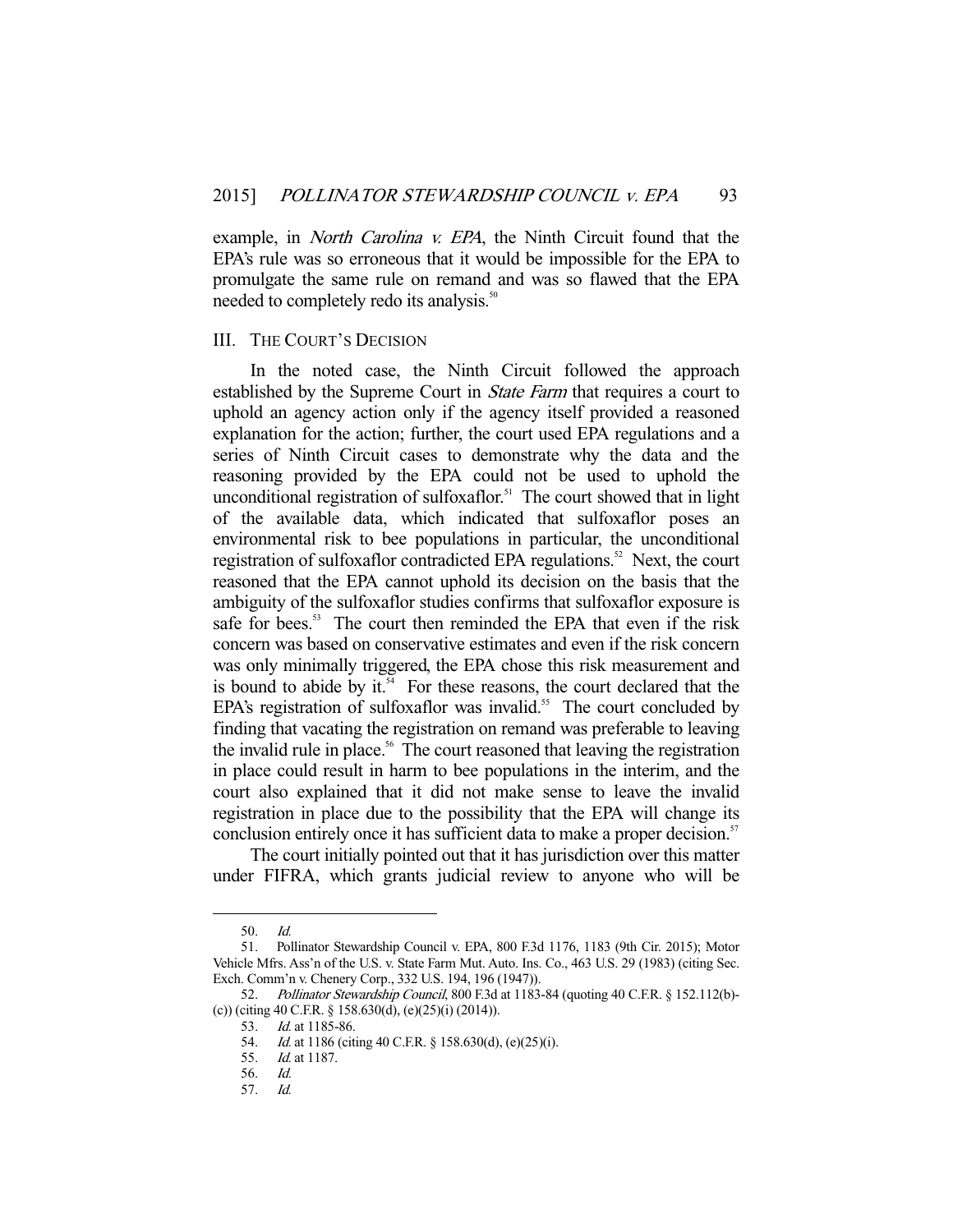example, in *North Carolina v. EPA*, the Ninth Circuit found that the EPA's rule was so erroneous that it would be impossible for the EPA to promulgate the same rule on remand and was so flawed that the EPA needed to completely redo its analysis.<sup>50</sup>

## III. THE COURT'S DECISION

 In the noted case, the Ninth Circuit followed the approach established by the Supreme Court in State Farm that requires a court to uphold an agency action only if the agency itself provided a reasoned explanation for the action; further, the court used EPA regulations and a series of Ninth Circuit cases to demonstrate why the data and the reasoning provided by the EPA could not be used to uphold the unconditional registration of sulfoxaflor.<sup>51</sup> The court showed that in light of the available data, which indicated that sulfoxaflor poses an environmental risk to bee populations in particular, the unconditional registration of sulfoxaflor contradicted EPA regulations.<sup>52</sup> Next, the court reasoned that the EPA cannot uphold its decision on the basis that the ambiguity of the sulfoxaflor studies confirms that sulfoxaflor exposure is safe for bees.<sup>53</sup> The court then reminded the EPA that even if the risk concern was based on conservative estimates and even if the risk concern was only minimally triggered, the EPA chose this risk measurement and is bound to abide by it. $54$  For these reasons, the court declared that the EPA's registration of sulfoxaflor was invalid.<sup>55</sup> The court concluded by finding that vacating the registration on remand was preferable to leaving the invalid rule in place.<sup>56</sup> The court reasoned that leaving the registration in place could result in harm to bee populations in the interim, and the court also explained that it did not make sense to leave the invalid registration in place due to the possibility that the EPA will change its conclusion entirely once it has sufficient data to make a proper decision.<sup>57</sup>

 The court initially pointed out that it has jurisdiction over this matter under FIFRA, which grants judicial review to anyone who will be

 <sup>50.</sup> Id.

 <sup>51.</sup> Pollinator Stewardship Council v. EPA, 800 F.3d 1176, 1183 (9th Cir. 2015); Motor Vehicle Mfrs. Ass'n of the U.S. v. State Farm Mut. Auto. Ins. Co., 463 U.S. 29 (1983) (citing Sec. Exch. Comm'n v. Chenery Corp., 332 U.S. 194, 196 (1947)).

<sup>52.</sup> Pollinator Stewardship Council, 800 F.3d at 1183-84 (quoting 40 C.F.R. § 152.112(b)-(c)) (citing 40 C.F.R. § 158.630(d), (e)(25)(i) (2014)).

<sup>53.</sup> *Id.* at 1185-86.

 <sup>54.</sup> Id. at 1186 (citing 40 C.F.R. § 158.630(d), (e)(25)(i).

 <sup>55.</sup> Id. at 1187.

 <sup>56.</sup> Id.

 <sup>57.</sup> Id.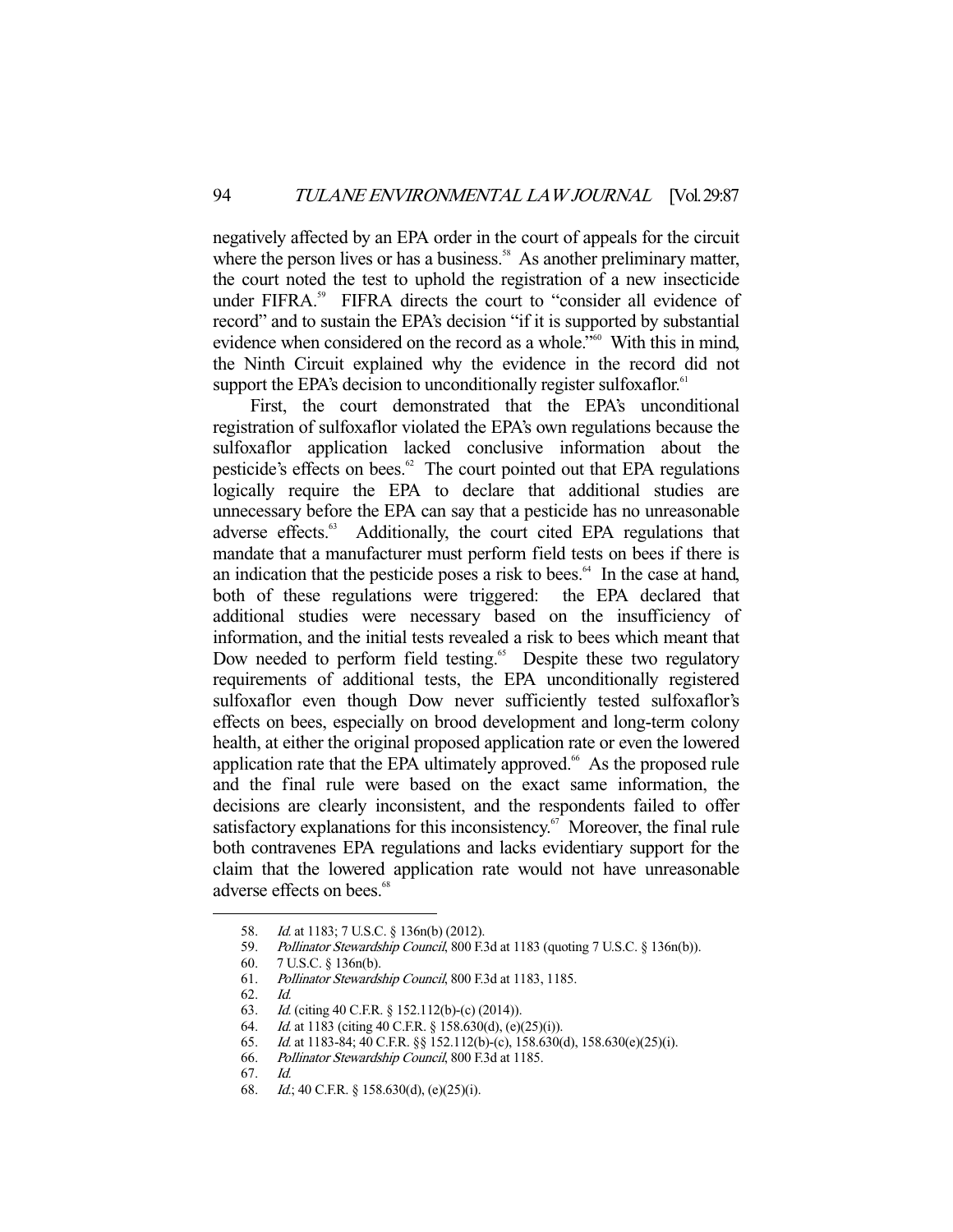negatively affected by an EPA order in the court of appeals for the circuit where the person lives or has a business.<sup>58</sup> As another preliminary matter, the court noted the test to uphold the registration of a new insecticide under FIFRA.<sup>59</sup> FIFRA directs the court to "consider all evidence of record" and to sustain the EPA's decision "if it is supported by substantial evidence when considered on the record as a whole."60 With this in mind, the Ninth Circuit explained why the evidence in the record did not support the EPA's decision to unconditionally register sulfoxaflor.<sup>61</sup>

 First, the court demonstrated that the EPA's unconditional registration of sulfoxaflor violated the EPA's own regulations because the sulfoxaflor application lacked conclusive information about the pesticide's effects on bees.<sup>62</sup> The court pointed out that EPA regulations logically require the EPA to declare that additional studies are unnecessary before the EPA can say that a pesticide has no unreasonable adverse effects.<sup>63</sup> Additionally, the court cited EPA regulations that mandate that a manufacturer must perform field tests on bees if there is an indication that the pesticide poses a risk to bees. $64$  In the case at hand, both of these regulations were triggered: the EPA declared that additional studies were necessary based on the insufficiency of information, and the initial tests revealed a risk to bees which meant that Dow needed to perform field testing.<sup>65</sup> Despite these two regulatory requirements of additional tests, the EPA unconditionally registered sulfoxaflor even though Dow never sufficiently tested sulfoxaflor's effects on bees, especially on brood development and long-term colony health, at either the original proposed application rate or even the lowered application rate that the EPA ultimately approved.<sup>66</sup> As the proposed rule and the final rule were based on the exact same information, the decisions are clearly inconsistent, and the respondents failed to offer satisfactory explanations for this inconsistency.<sup> $67$ </sup> Moreover, the final rule both contravenes EPA regulations and lacks evidentiary support for the claim that the lowered application rate would not have unreasonable adverse effects on bees.<sup>68</sup>

<sup>58.</sup> *Id.* at 1183; 7 U.S.C. § 136n(b) (2012).

<sup>59.</sup> Pollinator Stewardship Council, 800 F.3d at 1183 (quoting 7 U.S.C. § 136n(b)).

 <sup>60. 7</sup> U.S.C. § 136n(b).

 <sup>61.</sup> Pollinator Stewardship Council, 800 F.3d at 1183, 1185.

 <sup>62.</sup> Id.

 <sup>63.</sup> Id. (citing 40 C.F.R. § 152.112(b)-(c) (2014)).

 <sup>64.</sup> Id. at 1183 (citing 40 C.F.R. § 158.630(d), (e)(25)(i)).

 <sup>65.</sup> Id. at 1183-84; 40 C.F.R. §§ 152.112(b)-(c), 158.630(d), 158.630(e)(25)(i).

 <sup>66.</sup> Pollinator Stewardship Council, 800 F.3d at 1185.

 <sup>67.</sup> Id.

 <sup>68.</sup> Id.; 40 C.F.R. § 158.630(d), (e)(25)(i).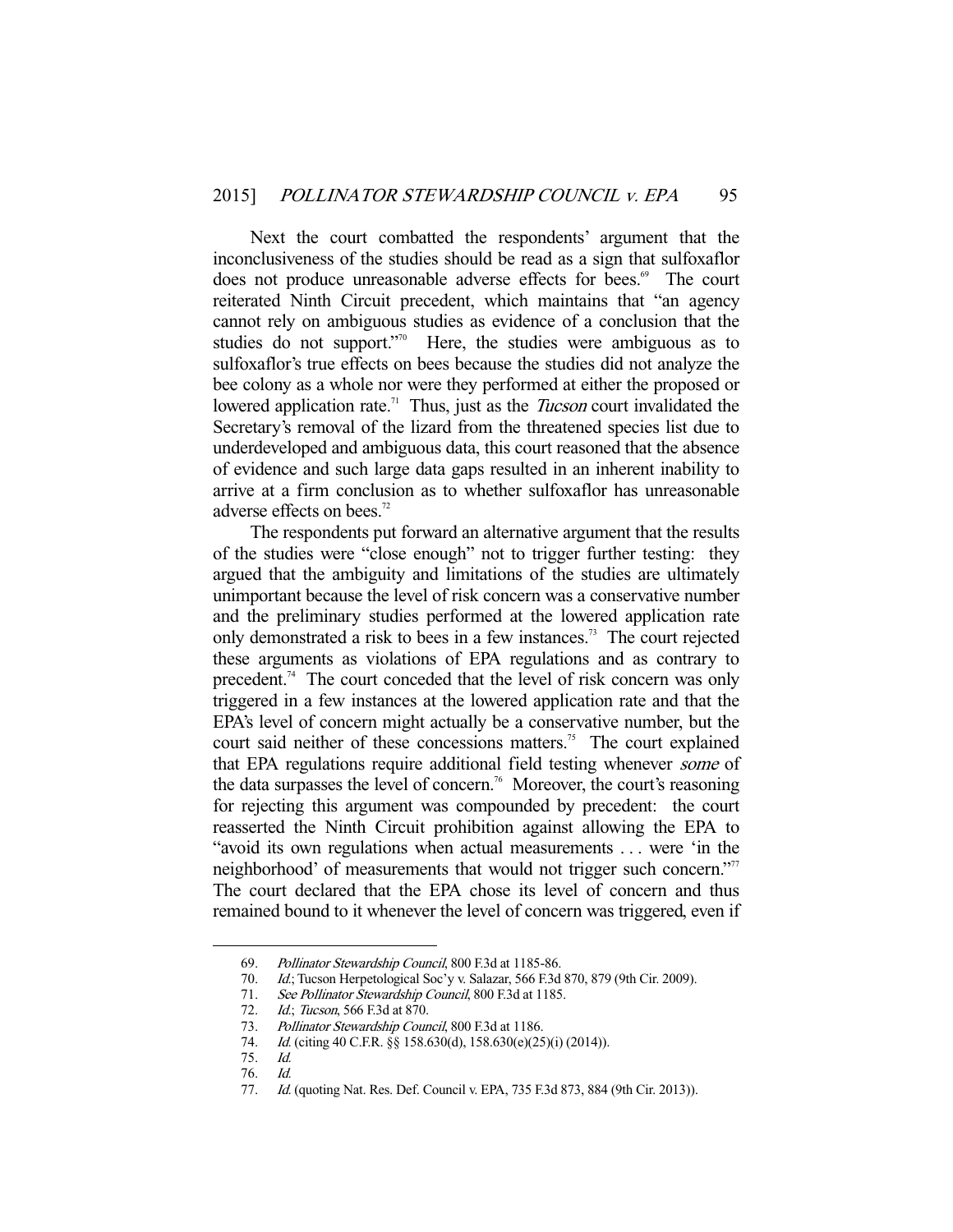Next the court combatted the respondents' argument that the inconclusiveness of the studies should be read as a sign that sulfoxaflor does not produce unreasonable adverse effects for bees.<sup>69</sup> The court reiterated Ninth Circuit precedent, which maintains that "an agency cannot rely on ambiguous studies as evidence of a conclusion that the studies do not support."<sup>70</sup> Here, the studies were ambiguous as to sulfoxaflor's true effects on bees because the studies did not analyze the bee colony as a whole nor were they performed at either the proposed or lowered application rate.<sup>71</sup> Thus, just as the *Tucson* court invalidated the Secretary's removal of the lizard from the threatened species list due to underdeveloped and ambiguous data, this court reasoned that the absence of evidence and such large data gaps resulted in an inherent inability to arrive at a firm conclusion as to whether sulfoxaflor has unreasonable adverse effects on bees.<sup>72</sup>

 The respondents put forward an alternative argument that the results of the studies were "close enough" not to trigger further testing: they argued that the ambiguity and limitations of the studies are ultimately unimportant because the level of risk concern was a conservative number and the preliminary studies performed at the lowered application rate only demonstrated a risk to bees in a few instances.73 The court rejected these arguments as violations of EPA regulations and as contrary to precedent.74 The court conceded that the level of risk concern was only triggered in a few instances at the lowered application rate and that the EPA's level of concern might actually be a conservative number, but the court said neither of these concessions matters.<sup>75</sup> The court explained that EPA regulations require additional field testing whenever some of the data surpasses the level of concern.<sup>76</sup> Moreover, the court's reasoning for rejecting this argument was compounded by precedent: the court reasserted the Ninth Circuit prohibition against allowing the EPA to "avoid its own regulations when actual measurements . . . were 'in the neighborhood' of measurements that would not trigger such concern."<sup>77</sup> The court declared that the EPA chose its level of concern and thus remained bound to it whenever the level of concern was triggered, even if

<sup>69.</sup> Pollinator Stewardship Council, 800 F.3d at 1185-86.<br>70. Id.; Tucson Herpetological Soc'y v. Salazar, 566 F.3d

Id.; Tucson Herpetological Soc'y v. Salazar, 566 F.3d 870, 879 (9th Cir. 2009).

 <sup>71.</sup> See Pollinator Stewardship Council, 800 F.3d at 1185.

<sup>72.</sup> *Id.*; *Tucson*, 566 F.3d at 870.

<sup>73.</sup> Pollinator Stewardship Council, 800 F.3d at 1186.

<sup>74.</sup> *Id.* (citing 40 C.F.R. §§ 158.630(d), 158.630(e)(25)(i) (2014)).

 <sup>75.</sup> Id.

 <sup>76.</sup> Id.

<sup>77.</sup> Id. (quoting Nat. Res. Def. Council v. EPA, 735 F.3d 873, 884 (9th Cir. 2013)).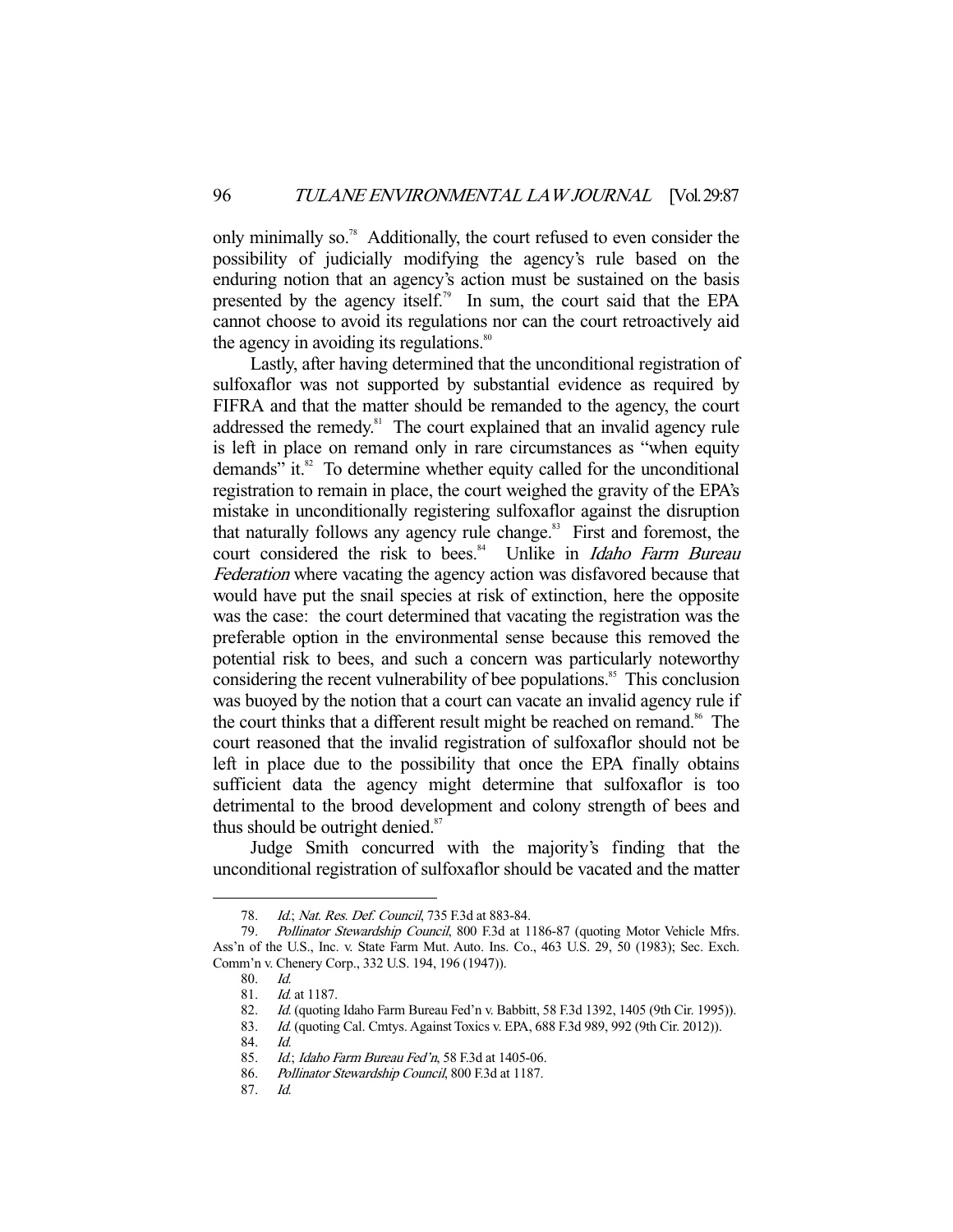only minimally so.78 Additionally, the court refused to even consider the possibility of judicially modifying the agency's rule based on the enduring notion that an agency's action must be sustained on the basis presented by the agency itself.<sup>79</sup> In sum, the court said that the EPA cannot choose to avoid its regulations nor can the court retroactively aid the agency in avoiding its regulations.<sup>80</sup>

 Lastly, after having determined that the unconditional registration of sulfoxaflor was not supported by substantial evidence as required by FIFRA and that the matter should be remanded to the agency, the court addressed the remedy.<sup>81</sup> The court explained that an invalid agency rule is left in place on remand only in rare circumstances as "when equity demands" it. $82$  To determine whether equity called for the unconditional registration to remain in place, the court weighed the gravity of the EPA's mistake in unconditionally registering sulfoxaflor against the disruption that naturally follows any agency rule change. $83$  First and foremost, the court considered the risk to bees.<sup>84</sup> Unlike in *Idaho Farm Bureau* Federation where vacating the agency action was disfavored because that would have put the snail species at risk of extinction, here the opposite was the case: the court determined that vacating the registration was the preferable option in the environmental sense because this removed the potential risk to bees, and such a concern was particularly noteworthy considering the recent vulnerability of bee populations.<sup>85</sup> This conclusion was buoyed by the notion that a court can vacate an invalid agency rule if the court thinks that a different result might be reached on remand.<sup>86</sup> The court reasoned that the invalid registration of sulfoxaflor should not be left in place due to the possibility that once the EPA finally obtains sufficient data the agency might determine that sulfoxaflor is too detrimental to the brood development and colony strength of bees and thus should be outright denied. $87$ 

 Judge Smith concurred with the majority's finding that the unconditional registration of sulfoxaflor should be vacated and the matter

-

87. Id.

<sup>78.</sup> *Id.; Nat. Res. Def. Council*, 735 F.3d at 883-84.

<sup>79.</sup> Pollinator Stewardship Council, 800 F.3d at 1186-87 (quoting Motor Vehicle Mfrs. Ass'n of the U.S., Inc. v. State Farm Mut. Auto. Ins. Co., 463 U.S. 29, 50 (1983); Sec. Exch. Comm'n v. Chenery Corp., 332 U.S. 194, 196 (1947)).

<sup>80.</sup> Id.<br>81. Id.

Id. at 1187.

 <sup>82.</sup> Id. (quoting Idaho Farm Bureau Fed'n v. Babbitt, 58 F.3d 1392, 1405 (9th Cir. 1995)).

<sup>83.</sup> Id. (quoting Cal. Cmtys. Against Toxics v. EPA, 688 F.3d 989, 992 (9th Cir. 2012)).

 <sup>84.</sup> Id.

<sup>85.</sup> Id.; Idaho Farm Bureau Fed'n, 58 F.3d at 1405-06.

 <sup>86.</sup> Pollinator Stewardship Council, 800 F.3d at 1187.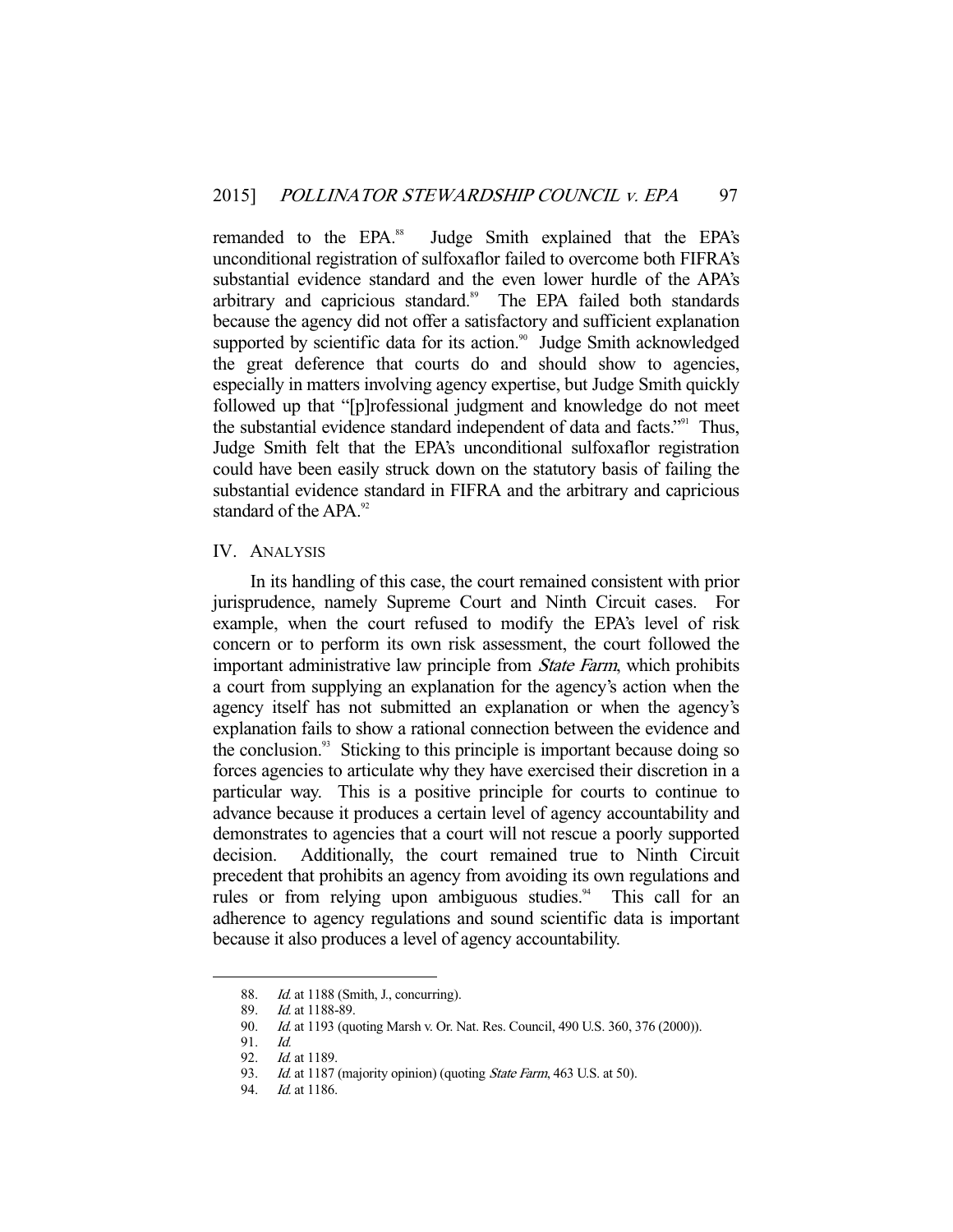remanded to the EPA.<sup>88</sup> Judge Smith explained that the EPA's unconditional registration of sulfoxaflor failed to overcome both FIFRA's substantial evidence standard and the even lower hurdle of the APA's arbitrary and capricious standard.<sup>89</sup> The EPA failed both standards because the agency did not offer a satisfactory and sufficient explanation supported by scientific data for its action.<sup>90</sup> Judge Smith acknowledged the great deference that courts do and should show to agencies, especially in matters involving agency expertise, but Judge Smith quickly followed up that "[p]rofessional judgment and knowledge do not meet the substantial evidence standard independent of data and facts."<sup>91</sup> Thus, Judge Smith felt that the EPA's unconditional sulfoxaflor registration could have been easily struck down on the statutory basis of failing the substantial evidence standard in FIFRA and the arbitrary and capricious standard of the APA $^{92}$ 

### IV. ANALYSIS

 In its handling of this case, the court remained consistent with prior jurisprudence, namely Supreme Court and Ninth Circuit cases. For example, when the court refused to modify the EPA's level of risk concern or to perform its own risk assessment, the court followed the important administrative law principle from State Farm, which prohibits a court from supplying an explanation for the agency's action when the agency itself has not submitted an explanation or when the agency's explanation fails to show a rational connection between the evidence and the conclusion.<sup>93</sup> Sticking to this principle is important because doing so forces agencies to articulate why they have exercised their discretion in a particular way. This is a positive principle for courts to continue to advance because it produces a certain level of agency accountability and demonstrates to agencies that a court will not rescue a poorly supported decision. Additionally, the court remained true to Ninth Circuit precedent that prohibits an agency from avoiding its own regulations and rules or from relying upon ambiguous studies.<sup>94</sup> This call for an adherence to agency regulations and sound scientific data is important because it also produces a level of agency accountability.

<sup>88.</sup> *Id.* at 1188 (Smith, J., concurring).<br>89. *Id.* at 1188-89.

Id. at 1188-89.

<sup>90.</sup> *Id.* at 1193 (quoting Marsh v. Or. Nat. Res. Council, 490 U.S. 360, 376 (2000)).

 <sup>91.</sup> Id.

 <sup>92.</sup> Id. at 1189.

<sup>93.</sup> Id. at 1187 (majority opinion) (quoting State Farm, 463 U.S. at 50).

<sup>94.</sup> *Id.* at 1186.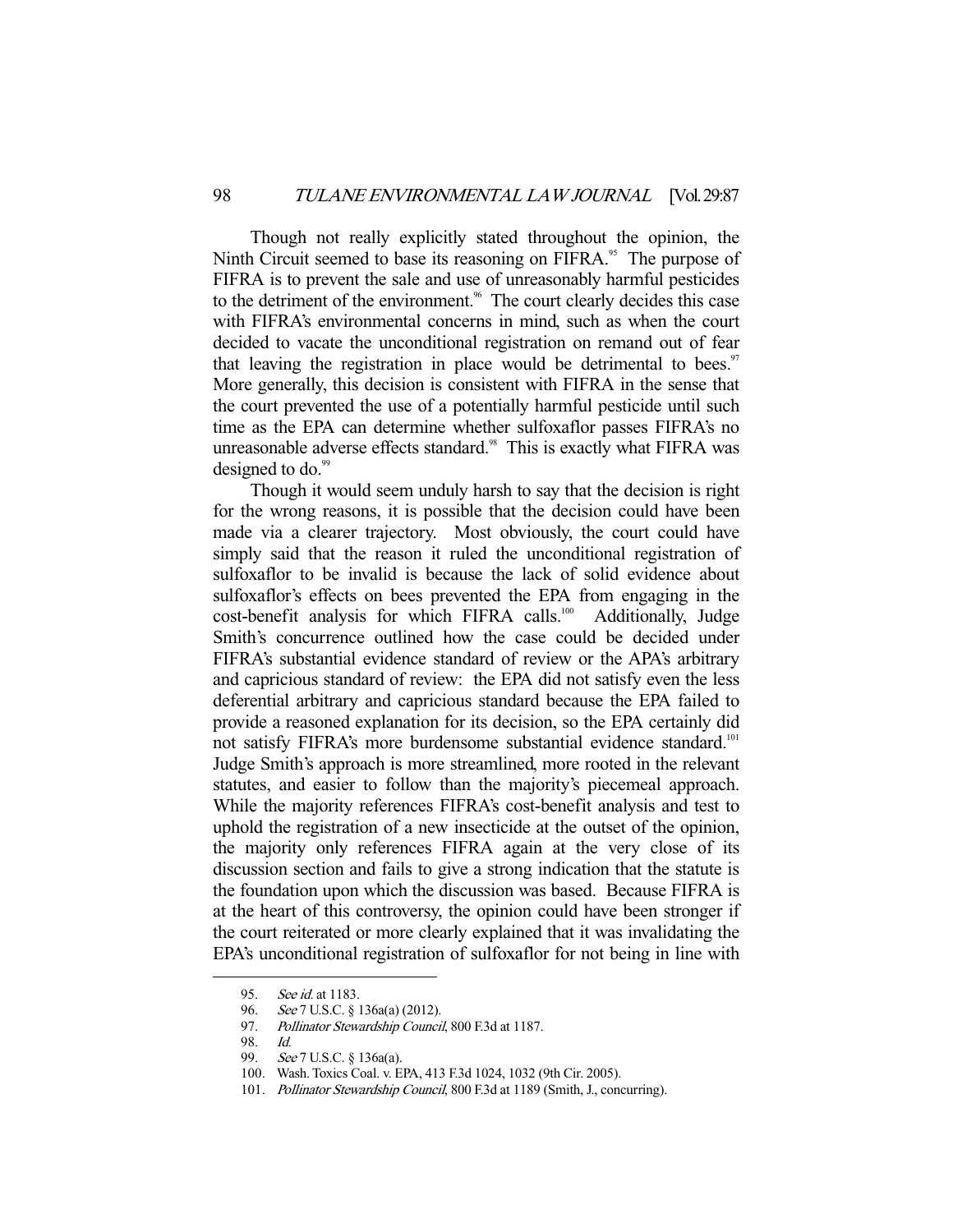Though not really explicitly stated throughout the opinion, the Ninth Circuit seemed to base its reasoning on FIFRA.<sup>95</sup> The purpose of FIFRA is to prevent the sale and use of unreasonably harmful pesticides to the detriment of the environment.<sup>96</sup> The court clearly decides this case with FIFRA's environmental concerns in mind, such as when the court decided to vacate the unconditional registration on remand out of fear that leaving the registration in place would be detrimental to bees. $\frac{97}{100}$ More generally, this decision is consistent with FIFRA in the sense that the court prevented the use of a potentially harmful pesticide until such time as the EPA can determine whether sulfoxaflor passes FIFRA's no unreasonable adverse effects standard.<sup>98</sup> This is exactly what FIFRA was designed to do.<sup>99</sup>

 Though it would seem unduly harsh to say that the decision is right for the wrong reasons, it is possible that the decision could have been made via a clearer trajectory. Most obviously, the court could have simply said that the reason it ruled the unconditional registration of sulfoxaflor to be invalid is because the lack of solid evidence about sulfoxaflor's effects on bees prevented the EPA from engaging in the cost-benefit analysis for which FIFRA calls.<sup>100</sup> Additionally, Judge Smith's concurrence outlined how the case could be decided under FIFRA's substantial evidence standard of review or the APA's arbitrary and capricious standard of review: the EPA did not satisfy even the less deferential arbitrary and capricious standard because the EPA failed to provide a reasoned explanation for its decision, so the EPA certainly did not satisfy FIFRA's more burdensome substantial evidence standard.<sup>101</sup> Judge Smith's approach is more streamlined, more rooted in the relevant statutes, and easier to follow than the majority's piecemeal approach. While the majority references FIFRA's cost-benefit analysis and test to uphold the registration of a new insecticide at the outset of the opinion, the majority only references FIFRA again at the very close of its discussion section and fails to give a strong indication that the statute is the foundation upon which the discussion was based. Because FIFRA is at the heart of this controversy, the opinion could have been stronger if the court reiterated or more clearly explained that it was invalidating the EPA's unconditional registration of sulfoxaflor for not being in line with

<sup>95.</sup> See id. at 1183.

<sup>96.</sup> See 7 U.S.C. § 136a(a) (2012).

<sup>97.</sup> Pollinator Stewardship Council, 800 F.3d at 1187.

 <sup>98.</sup> Id.

 <sup>99.</sup> See 7 U.S.C. § 136a(a).

 <sup>100.</sup> Wash. Toxics Coal. v. EPA, 413 F.3d 1024, 1032 (9th Cir. 2005).

<sup>101.</sup> Pollinator Stewardship Council, 800 F.3d at 1189 (Smith, J., concurring).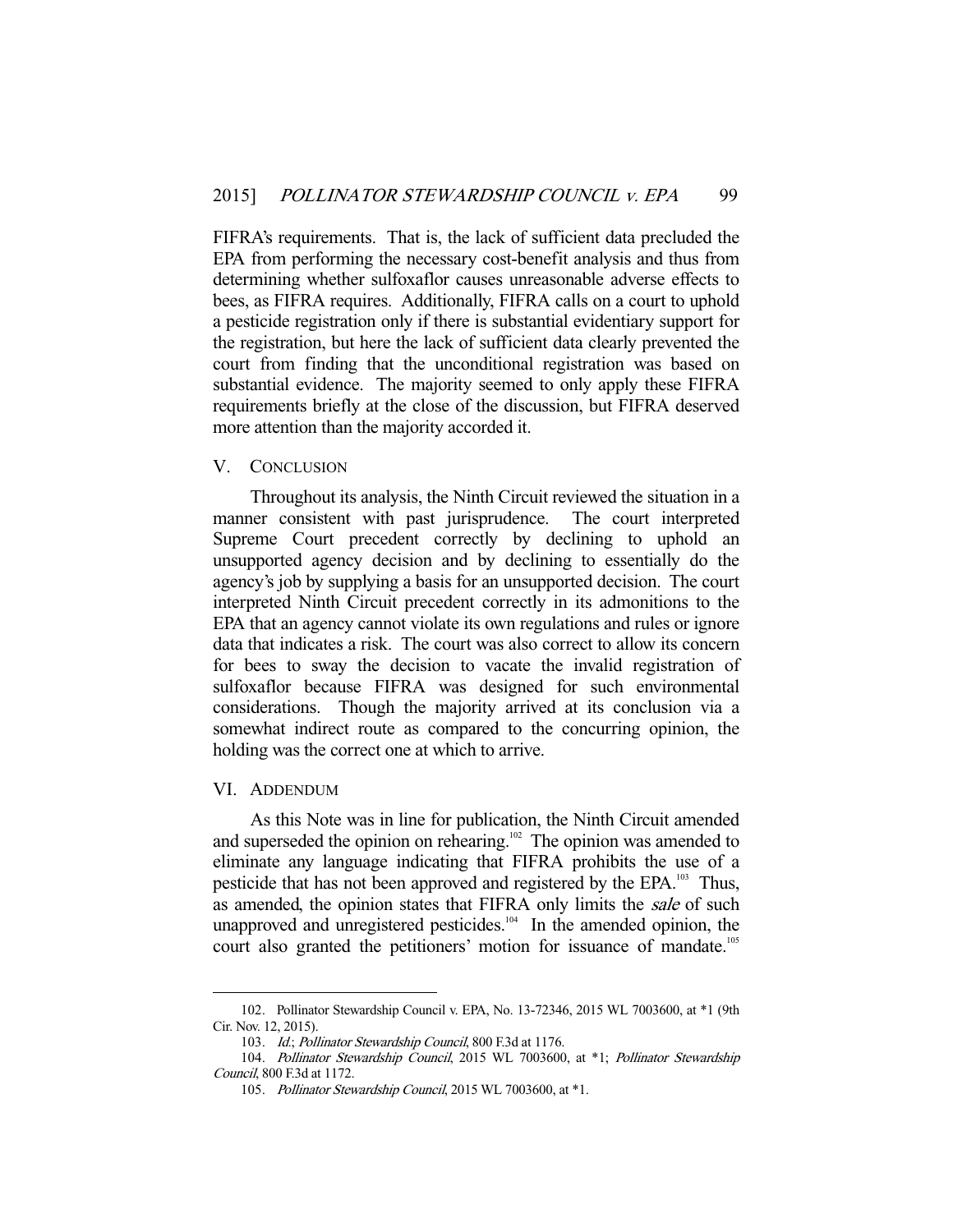FIFRA's requirements. That is, the lack of sufficient data precluded the EPA from performing the necessary cost-benefit analysis and thus from determining whether sulfoxaflor causes unreasonable adverse effects to bees, as FIFRA requires. Additionally, FIFRA calls on a court to uphold a pesticide registration only if there is substantial evidentiary support for the registration, but here the lack of sufficient data clearly prevented the court from finding that the unconditional registration was based on substantial evidence. The majority seemed to only apply these FIFRA requirements briefly at the close of the discussion, but FIFRA deserved more attention than the majority accorded it.

# V. CONCLUSION

 Throughout its analysis, the Ninth Circuit reviewed the situation in a manner consistent with past jurisprudence. The court interpreted Supreme Court precedent correctly by declining to uphold an unsupported agency decision and by declining to essentially do the agency's job by supplying a basis for an unsupported decision. The court interpreted Ninth Circuit precedent correctly in its admonitions to the EPA that an agency cannot violate its own regulations and rules or ignore data that indicates a risk. The court was also correct to allow its concern for bees to sway the decision to vacate the invalid registration of sulfoxaflor because FIFRA was designed for such environmental considerations. Though the majority arrived at its conclusion via a somewhat indirect route as compared to the concurring opinion, the holding was the correct one at which to arrive.

#### VI. ADDENDUM

-

 As this Note was in line for publication, the Ninth Circuit amended and superseded the opinion on rehearing.<sup>102</sup> The opinion was amended to eliminate any language indicating that FIFRA prohibits the use of a pesticide that has not been approved and registered by the EPA.<sup>103</sup> Thus, as amended, the opinion states that FIFRA only limits the sale of such unapproved and unregistered pesticides.<sup>104</sup> In the amended opinion, the court also granted the petitioners' motion for issuance of mandate.<sup>105</sup>

 <sup>102.</sup> Pollinator Stewardship Council v. EPA, No. 13-72346, 2015 WL 7003600, at \*1 (9th Cir. Nov. 12, 2015).

<sup>103.</sup> Id.; Pollinator Stewardship Council, 800 F.3d at 1176.

 <sup>104.</sup> Pollinator Stewardship Council, 2015 WL 7003600, at \*1; Pollinator Stewardship Council, 800 F.3d at 1172.

 <sup>105.</sup> Pollinator Stewardship Council, 2015 WL 7003600, at \*1.